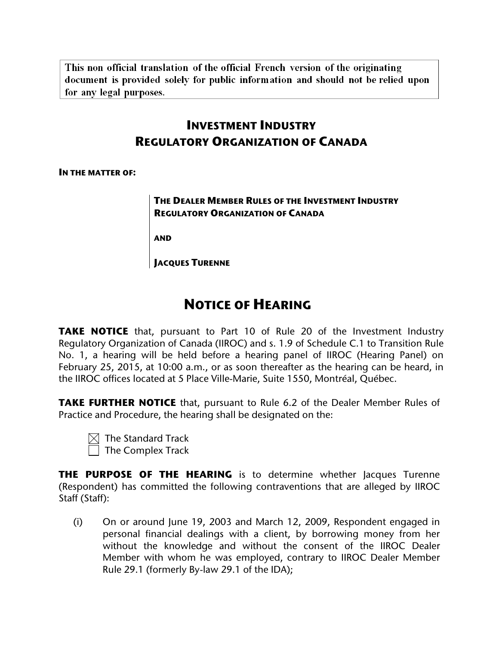This non official translation of the official French version of the originating document is provided solely for public information and should not be relied upon for any legal purposes.

# **INVESTMENT INDUSTRY REGULATORY ORGANIZATION OF CANADA**

**IN THE MATTER OF:**

**THE DEALER MEMBER RULES OF THE INVESTMENT INDUSTRY REGULATORY ORGANIZATION OF CANADA**

**AND**

**JACQUES TURENNE**

# **NOTICE OF HEARING**

**TAKE NOTICE** that, pursuant to Part 10 of Rule 20 of the Investment Industry Regulatory Organization of Canada (IIROC) and s. 1.9 of Schedule C.1 to Transition Rule No. 1, a hearing will be held before a hearing panel of IIROC (Hearing Panel) on February 25, 2015, at 10:00 a.m., or as soon thereafter as the hearing can be heard, in the IIROC offices located at 5 Place Ville-Marie, Suite 1550, Montréal, Québec.

**TAKE FURTHER NOTICE** that, pursuant to Rule 6.2 of the Dealer Member Rules of Practice and Procedure, the hearing shall be designated on the:

 $\boxtimes$  The Standard Track  $\Box$  The Complex Track

**THE PURPOSE OF THE HEARING** is to determine whether Jacques Turenne (Respondent) has committed the following contraventions that are alleged by IIROC Staff (Staff):

(i) On or around June 19, 2003 and March 12, 2009, Respondent engaged in personal financial dealings with a client, by borrowing money from her without the knowledge and without the consent of the IIROC Dealer Member with whom he was employed, contrary to IIROC Dealer Member Rule 29.1 (formerly By-law 29.1 of the IDA);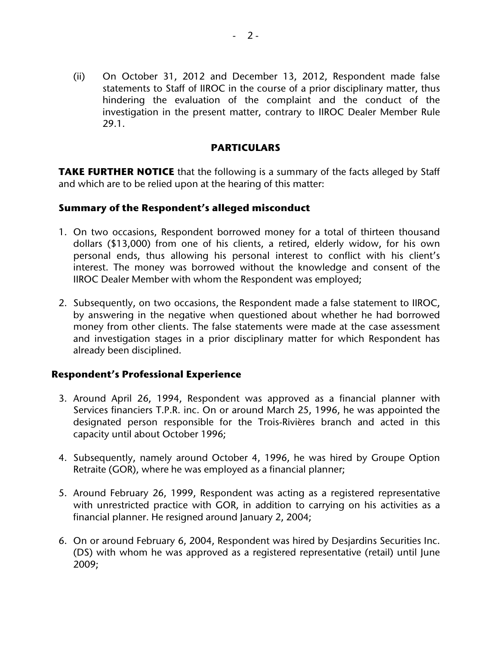(ii) On October 31, 2012 and December 13, 2012, Respondent made false statements to Staff of IIROC in the course of a prior disciplinary matter, thus hindering the evaluation of the complaint and the conduct of the investigation in the present matter, contrary to IIROC Dealer Member Rule 29.1.

#### **PARTICULARS**

**TAKE FURTHER NOTICE** that the following is a summary of the facts alleged by Staff and which are to be relied upon at the hearing of this matter:

#### **Summary of the Respondent's alleged misconduct**

- 1. On two occasions, Respondent borrowed money for a total of thirteen thousand dollars (\$13,000) from one of his clients, a retired, elderly widow, for his own personal ends, thus allowing his personal interest to conflict with his client's interest. The money was borrowed without the knowledge and consent of the IIROC Dealer Member with whom the Respondent was employed;
- 2. Subsequently, on two occasions, the Respondent made a false statement to IIROC, by answering in the negative when questioned about whether he had borrowed money from other clients. The false statements were made at the case assessment and investigation stages in a prior disciplinary matter for which Respondent has already been disciplined.

#### **Respondent's Professional Experience**

- 3. Around April 26, 1994, Respondent was approved as a financial planner with Services financiers T.P.R. inc. On or around March 25, 1996, he was appointed the designated person responsible for the Trois-Rivières branch and acted in this capacity until about October 1996;
- 4. Subsequently, namely around October 4, 1996, he was hired by Groupe Option Retraite (GOR), where he was employed as a financial planner;
- 5. Around February 26, 1999, Respondent was acting as a registered representative with unrestricted practice with GOR, in addition to carrying on his activities as a financial planner. He resigned around January 2, 2004;
- 6. On or around February 6, 2004, Respondent was hired by Desjardins Securities Inc. (DS) with whom he was approved as a registered representative (retail) until June 2009;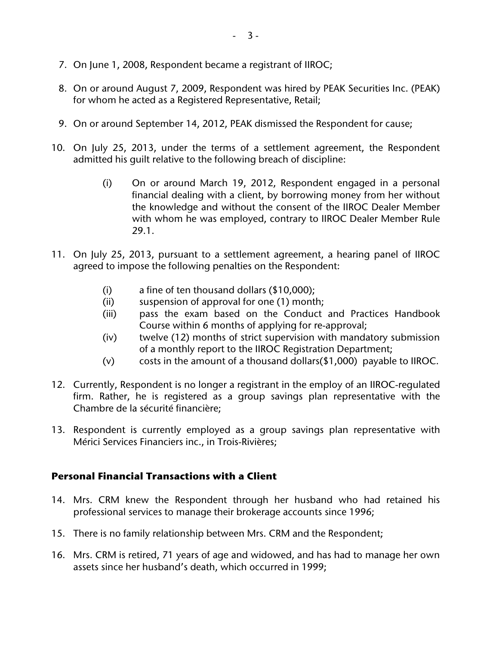- 7. On June 1, 2008, Respondent became a registrant of IIROC;
- 8. On or around August 7, 2009, Respondent was hired by PEAK Securities Inc. (PEAK) for whom he acted as a Registered Representative, Retail;
- 9. On or around September 14, 2012, PEAK dismissed the Respondent for cause;
- 10. On July 25, 2013, under the terms of a settlement agreement, the Respondent admitted his guilt relative to the following breach of discipline:
	- (i) On or around March 19, 2012, Respondent engaged in a personal financial dealing with a client, by borrowing money from her without the knowledge and without the consent of the IIROC Dealer Member with whom he was employed, contrary to IIROC Dealer Member Rule 29.1.
- 11. On July 25, 2013, pursuant to a settlement agreement, a hearing panel of IIROC agreed to impose the following penalties on the Respondent:
	- (i) a fine of ten thousand dollars (\$10,000);
	- (ii) suspension of approval for one (1) month;
	- (iii) pass the exam based on the Conduct and Practices Handbook Course within 6 months of applying for re-approval;
	- (iv) twelve (12) months of strict supervision with mandatory submission of a monthly report to the IIROC Registration Department;
	- (v) costs in the amount of a thousand dollars(\$1,000) payable to IIROC.
- 12. Currently, Respondent is no longer a registrant in the employ of an IIROC-regulated firm. Rather, he is registered as a group savings plan representative with the Chambre de la sécurité financière;
- 13. Respondent is currently employed as a group savings plan representative with Mérici Services Financiers inc., in Trois-Rivières;

#### **Personal Financial Transactions with a Client**

- 14. Mrs. CRM knew the Respondent through her husband who had retained his professional services to manage their brokerage accounts since 1996;
- 15. There is no family relationship between Mrs. CRM and the Respondent;
- 16. Mrs. CRM is retired, 71 years of age and widowed, and has had to manage her own assets since her husband's death, which occurred in 1999;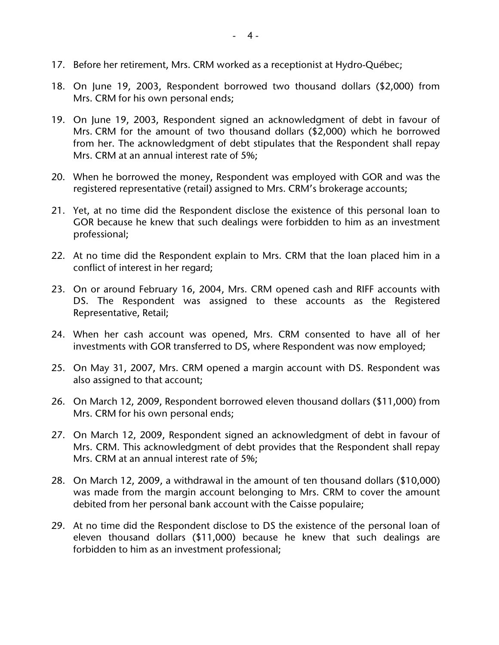- 17. Before her retirement, Mrs. CRM worked as a receptionist at Hydro-Québec;
- 18. On June 19, 2003, Respondent borrowed two thousand dollars (\$2,000) from Mrs. CRM for his own personal ends;
- 19. On June 19, 2003, Respondent signed an acknowledgment of debt in favour of Mrs. CRM for the amount of two thousand dollars (\$2,000) which he borrowed from her. The acknowledgment of debt stipulates that the Respondent shall repay Mrs. CRM at an annual interest rate of 5%;
- 20. When he borrowed the money, Respondent was employed with GOR and was the registered representative (retail) assigned to Mrs. CRM's brokerage accounts;
- 21. Yet, at no time did the Respondent disclose the existence of this personal loan to GOR because he knew that such dealings were forbidden to him as an investment professional;
- 22. At no time did the Respondent explain to Mrs. CRM that the loan placed him in a conflict of interest in her regard;
- 23. On or around February 16, 2004, Mrs. CRM opened cash and RIFF accounts with DS. The Respondent was assigned to these accounts as the Registered Representative, Retail;
- 24. When her cash account was opened, Mrs. CRM consented to have all of her investments with GOR transferred to DS, where Respondent was now employed;
- 25. On May 31, 2007, Mrs. CRM opened a margin account with DS. Respondent was also assigned to that account;
- 26. On March 12, 2009, Respondent borrowed eleven thousand dollars (\$11,000) from Mrs. CRM for his own personal ends;
- 27. On March 12, 2009, Respondent signed an acknowledgment of debt in favour of Mrs. CRM. This acknowledgment of debt provides that the Respondent shall repay Mrs. CRM at an annual interest rate of 5%;
- 28. On March 12, 2009, a withdrawal in the amount of ten thousand dollars (\$10,000) was made from the margin account belonging to Mrs. CRM to cover the amount debited from her personal bank account with the Caisse populaire;
- 29. At no time did the Respondent disclose to DS the existence of the personal loan of eleven thousand dollars (\$11,000) because he knew that such dealings are forbidden to him as an investment professional;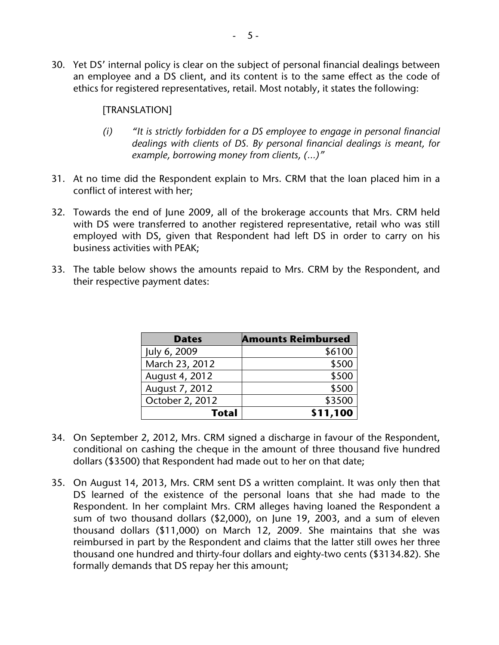30. Yet DS' internal policy is clear on the subject of personal financial dealings between an employee and a DS client, and its content is to the same effect as the code of ethics for registered representatives, retail. Most notably, it states the following:

#### [TRANSLATION]

- *(i) "It is strictly forbidden for a DS employee to engage in personal financial dealings with clients of DS. By personal financial dealings is meant, for example, borrowing money from clients, (…)"*
- 31. At no time did the Respondent explain to Mrs. CRM that the loan placed him in a conflict of interest with her;
- 32. Towards the end of June 2009, all of the brokerage accounts that Mrs. CRM held with DS were transferred to another registered representative, retail who was still employed with DS, given that Respondent had left DS in order to carry on his business activities with PEAK;
- 33. The table below shows the amounts repaid to Mrs. CRM by the Respondent, and their respective payment dates:

| <b>Dates</b>    | <b>Amounts Reimbursed</b> |
|-----------------|---------------------------|
| July 6, 2009    | \$6100                    |
| March 23, 2012  | \$500                     |
| August 4, 2012  | \$500                     |
| August 7, 2012  | \$500                     |
| October 2, 2012 | \$3500                    |
| <b>Total</b>    | \$11,100                  |

- 34. On September 2, 2012, Mrs. CRM signed a discharge in favour of the Respondent, conditional on cashing the cheque in the amount of three thousand five hundred dollars (\$3500) that Respondent had made out to her on that date;
- 35. On August 14, 2013, Mrs. CRM sent DS a written complaint. It was only then that DS learned of the existence of the personal loans that she had made to the Respondent. In her complaint Mrs. CRM alleges having loaned the Respondent a sum of two thousand dollars (\$2,000), on June 19, 2003, and a sum of eleven thousand dollars (\$11,000) on March 12, 2009. She maintains that she was reimbursed in part by the Respondent and claims that the latter still owes her three thousand one hundred and thirty-four dollars and eighty-two cents (\$3134.82). She formally demands that DS repay her this amount;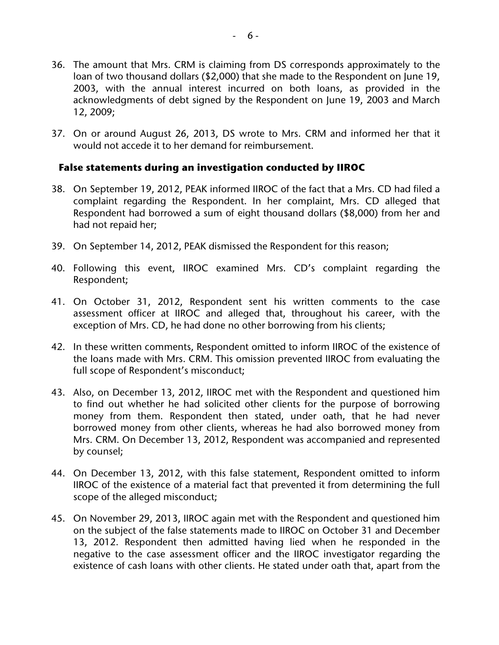- 36. The amount that Mrs. CRM is claiming from DS corresponds approximately to the loan of two thousand dollars (\$2,000) that she made to the Respondent on June 19, 2003, with the annual interest incurred on both loans, as provided in the acknowledgments of debt signed by the Respondent on June 19, 2003 and March 12, 2009;
- 37. On or around August 26, 2013, DS wrote to Mrs. CRM and informed her that it would not accede it to her demand for reimbursement.

#### **False statements during an investigation conducted by IIROC**

- 38. On September 19, 2012, PEAK informed IIROC of the fact that a Mrs. CD had filed a complaint regarding the Respondent. In her complaint, Mrs. CD alleged that Respondent had borrowed a sum of eight thousand dollars (\$8,000) from her and had not repaid her;
- 39. On September 14, 2012, PEAK dismissed the Respondent for this reason;
- 40. Following this event, IIROC examined Mrs. CD's complaint regarding the Respondent;
- 41. On October 31, 2012, Respondent sent his written comments to the case assessment officer at IIROC and alleged that, throughout his career, with the exception of Mrs. CD, he had done no other borrowing from his clients;
- 42. In these written comments, Respondent omitted to inform IIROC of the existence of the loans made with Mrs. CRM. This omission prevented IIROC from evaluating the full scope of Respondent's misconduct;
- 43. Also, on December 13, 2012, IIROC met with the Respondent and questioned him to find out whether he had solicited other clients for the purpose of borrowing money from them. Respondent then stated, under oath, that he had never borrowed money from other clients, whereas he had also borrowed money from Mrs. CRM. On December 13, 2012, Respondent was accompanied and represented by counsel;
- 44. On December 13, 2012, with this false statement, Respondent omitted to inform IIROC of the existence of a material fact that prevented it from determining the full scope of the alleged misconduct;
- 45. On November 29, 2013, IIROC again met with the Respondent and questioned him on the subject of the false statements made to IIROC on October 31 and December 13, 2012. Respondent then admitted having lied when he responded in the negative to the case assessment officer and the IIROC investigator regarding the existence of cash loans with other clients. He stated under oath that, apart from the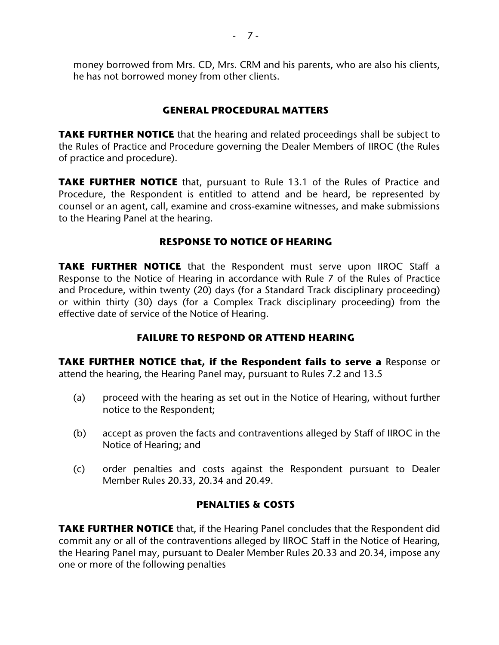money borrowed from Mrs. CD, Mrs. CRM and his parents, who are also his clients, he has not borrowed money from other clients.

#### **GENERAL PROCEDURAL MATTERS**

**TAKE FURTHER NOTICE** that the hearing and related proceedings shall be subject to the Rules of Practice and Procedure governing the Dealer Members of IIROC (the Rules of practice and procedure).

**TAKE FURTHER NOTICE** that, pursuant to Rule 13.1 of the Rules of Practice and Procedure, the Respondent is entitled to attend and be heard, be represented by counsel or an agent, call, examine and cross-examine witnesses, and make submissions to the Hearing Panel at the hearing.

### **RESPONSE TO NOTICE OF HEARING**

**TAKE FURTHER NOTICE** that the Respondent must serve upon IIROC Staff a Response to the Notice of Hearing in accordance with Rule 7 of the Rules of Practice and Procedure, within twenty (20) days (for a Standard Track disciplinary proceeding) or within thirty (30) days (for a Complex Track disciplinary proceeding) from the effective date of service of the Notice of Hearing.

# **FAILURE TO RESPOND OR ATTEND HEARING**

**TAKE FURTHER NOTICE that, if the Respondent fails to serve a** Response or attend the hearing, the Hearing Panel may, pursuant to Rules 7.2 and 13.5

- (a) proceed with the hearing as set out in the Notice of Hearing, without further notice to the Respondent;
- (b) accept as proven the facts and contraventions alleged by Staff of IIROC in the Notice of Hearing; and
- (c) order penalties and costs against the Respondent pursuant to Dealer Member Rules 20.33, 20.34 and 20.49.

# **PENALTIES & COSTS**

**TAKE FURTHER NOTICE** that, if the Hearing Panel concludes that the Respondent did commit any or all of the contraventions alleged by IIROC Staff in the Notice of Hearing, the Hearing Panel may, pursuant to Dealer Member Rules 20.33 and 20.34, impose any one or more of the following penalties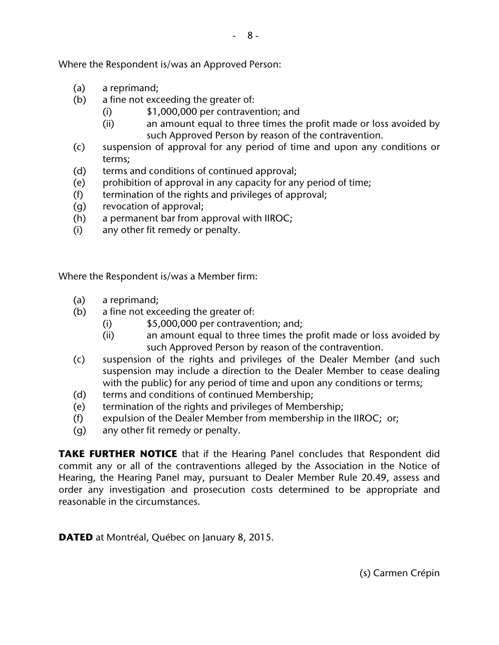- (a) a reprimand;
- (b) a fine not exceeding the greater of:
	- (i) \$1,000,000 per contravention; and
	- (ii) an amount equal to three times the profit made or loss avoided by such Approved Person by reason of the contravention.
- (c) suspension of approval for any period of time and upon any conditions or terms;
- (d) terms and conditions of continued approval;
- (e) prohibition of approval in any capacity for any period of time;
- (f) termination of the rights and privileges of approval;
- (g) revocation of approval;
- (h) a permanent bar from approval with IIROC;
- (i) any other fit remedy or penalty.

Where the Respondent is/was a Member firm:

- (a) a reprimand;
- (b) a fine not exceeding the greater of:
	- $(i)$  \$5,000,000 per contravention; and:
	- (ii) an amount equal to three times the profit made or loss avoided by such Approved Person by reason of the contravention.
- (c) suspension of the rights and privileges of the Dealer Member (and such suspension may include a direction to the Dealer Member to cease dealing with the public) for any period of time and upon any conditions or terms;
- (d) terms and conditions of continued Membership;
- (e) termination of the rights and privileges of Membership;
- (f) expulsion of the Dealer Member from membership in the IIROC; or;
- (g) any other fit remedy or penalty.

**TAKE FURTHER NOTICE** that if the Hearing Panel concludes that Respondent did commit any or all of the contraventions alleged by the Association in the Notice of Hearing, the Hearing Panel may, pursuant to Dealer Member Rule 20.49, assess and order any investigation and prosecution costs determined to be appropriate and reasonable in the circumstances.

**DATED** at Montréal, Québec on January 8, 2015.